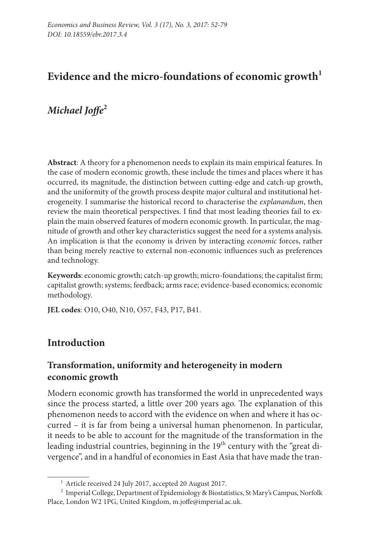# Evidence and the micro-foundations of economic growth<sup>1</sup>

# *Michael Joffe***<sup>2</sup>**

**Abstract**: A theory for a phenomenon needs to explain its main empirical features. In the case of modern economic growth, these include the times and places where it has occurred, its magnitude, the distinction between cutting-edge and catch-up growth, and the uniformity of the growth process despite major cultural and institutional heterogeneity. I summarise the historical record to characterise the *explanandum*, then review the main theoretical perspectives. I find that most leading theories fail to explain the main observed features of modern economic growth. In particular, the magnitude of growth and other key characteristics suggest the need for a systems analysis. An implication is that the economy is driven by interacting *economic* forces, rather than being merely reactive to external non-economic influences such as preferences and technology.

**Keywords**: economic growth; catch-up growth; micro-foundations; the capitalist firm; capitalist growth; systems; feedback; arms race; evidence-based economics; economic methodology.

**JEL codes**: O10, O40, N10, O57, F43, P17, B41.

# **Introduction**

# **Transformation, uniformity and heterogeneity in modern economic growth**

Modern economic growth has transformed the world in unprecedented ways since the process started, a little over 200 years ago. The explanation of this phenomenon needs to accord with the evidence on when and where it has occurred – it is far from being a universal human phenomenon. In particular, it needs to be able to account for the magnitude of the transformation in the leading industrial countries, beginning in the 19<sup>th</sup> century with the "great divergence", and in a handful of economies in East Asia that have made the tran-

<sup>1</sup> Article received 24 July 2017, accepted 20 August 2017.

<sup>&</sup>lt;sup>2</sup> Imperial College, Department of Epidemiology & Biostatistics, St Mary's Campus, Norfolk Place, London W2 1PG, United Kingdom, m.joffe@imperial.ac.uk.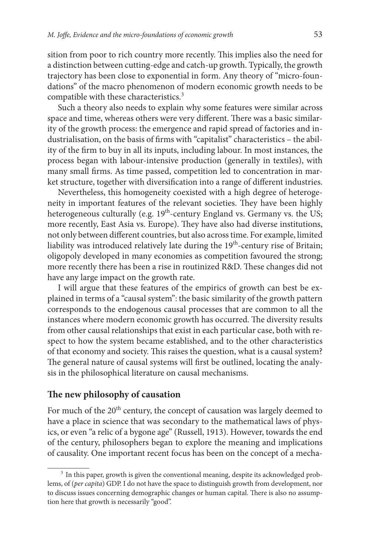sition from poor to rich country more recently. This implies also the need for a distinction between cutting-edge and catch-up growth. Typically, the growth trajectory has been close to exponential in form. Any theory of "micro-foundations" of the macro phenomenon of modern economic growth needs to be compatible with these characteristics.<sup>3</sup>

Such a theory also needs to explain why some features were similar across space and time, whereas others were very different. There was a basic similarity of the growth process: the emergence and rapid spread of factories and industrialisation, on the basis of firms with "capitalist" characteristics – the ability of the firm to buy in all its inputs, including labour. In most instances, the process began with labour-intensive production (generally in textiles), with many small firms. As time passed, competition led to concentration in market structure, together with diversification into a range of different industries.

Nevertheless, this homogeneity coexisted with a high degree of heterogeneity in important features of the relevant societies. They have been highly heterogeneous culturally (e.g. 19<sup>th</sup>-century England vs. Germany vs. the US; more recently, East Asia vs. Europe). They have also had diverse institutions, not only between different countries, but also across time. For example, limited liability was introduced relatively late during the  $19<sup>th</sup>$ -century rise of Britain; oligopoly developed in many economies as competition favoured the strong; more recently there has been a rise in routinized R&D. These changes did not have any large impact on the growth rate.

I will argue that these features of the empirics of growth can best be explained in terms of a "causal system": the basic similarity of the growth pattern corresponds to the endogenous causal processes that are common to all the instances where modern economic growth has occurred. The diversity results from other causal relationships that exist in each particular case, both with respect to how the system became established, and to the other characteristics of that economy and society. This raises the question, what is a causal system? The general nature of causal systems will first be outlined, locating the analysis in the philosophical literature on causal mechanisms.

### **The new philosophy of causation**

For much of the 20<sup>th</sup> century, the concept of causation was largely deemed to have a place in science that was secondary to the mathematical laws of physics, or even "a relic of a bygone age" (Russell, 1913). However, towards the end of the century, philosophers began to explore the meaning and implications of causality. One important recent focus has been on the concept of a mecha-

<sup>&</sup>lt;sup>3</sup> In this paper, growth is given the conventional meaning, despite its acknowledged problems, of (*per capita*) GDP. I do not have the space to distinguish growth from development, nor to discuss issues concerning demographic changes or human capital. There is also no assumption here that growth is necessarily "good".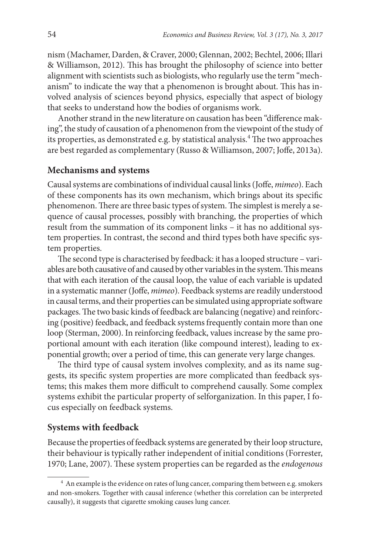nism (Machamer, Darden, & Craver, 2000; Glennan, 2002; Bechtel, 2006; Illari & Williamson, 2012). This has brought the philosophy of science into better alignment with scientists such as biologists, who regularly use the term "mechanism" to indicate the way that a phenomenon is brought about. This has involved analysis of sciences beyond physics, especially that aspect of biology that seeks to understand how the bodies of organisms work.

Another strand in the new literature on causation has been "difference making", the study of causation of a phenomenon from the viewpoint of the study of its properties, as demonstrated e.g. by statistical analysis.<sup>4</sup> The two approaches are best regarded as complementary (Russo & Williamson, 2007; Joffe, 2013a).

#### **Mechanisms and systems**

Causal systems are combinations of individual causal links (Joffe, *mimeo*). Each of these components has its own mechanism, which brings about its specific phenomenon. There are three basic types of system. The simplest is merely a sequence of causal processes, possibly with branching, the properties of which result from the summation of its component links – it has no additional system properties. In contrast, the second and third types both have specific system properties.

The second type is characterised by feedback: it has a looped structure – variables are both causative of and caused by other variables in the system. This means that with each iteration of the causal loop, the value of each variable is updated in a systematic manner (Joffe, *mimeo*). Feedback systems are readily understood in causal terms, and their properties can be simulated using appropriate software packages. The two basic kinds of feedback are balancing (negative) and reinforcing (positive) feedback, and feedback systems frequently contain more than one loop (Sterman, 2000). In reinforcing feedback, values increase by the same proportional amount with each iteration (like compound interest), leading to exponential growth; over a period of time, this can generate very large changes.

The third type of causal system involves complexity, and as its name suggests, its specific system properties are more complicated than feedback systems; this makes them more difficult to comprehend causally. Some complex systems exhibit the particular property of selforganization. In this paper, I focus especially on feedback systems.

#### **Systems with feedback**

Because the properties of feedback systems are generated by their loop structure, their behaviour is typically rather independent of initial conditions (Forrester, 1970; Lane, 2007). These system properties can be regarded as the *endogenous*

<sup>&</sup>lt;sup>4</sup> An example is the evidence on rates of lung cancer, comparing them between e.g. smokers and non-smokers. Together with causal inference (whether this correlation can be interpreted causally), it suggests that cigarette smoking causes lung cancer.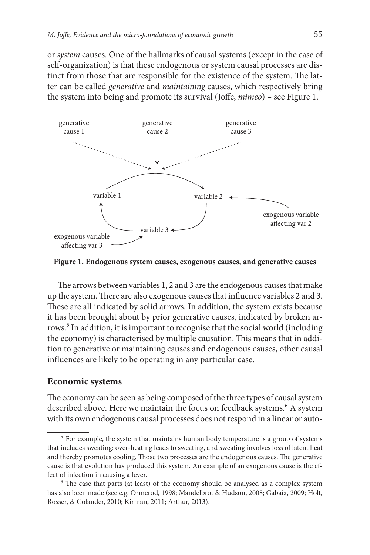or *system* causes. One of the hallmarks of causal systems (except in the case of self-organization) is that these endogenous or system causal processes are distinct from those that are responsible for the existence of the system. The latter can be called *generative* and *maintaining* causes, which respectively bring the system into being and promote its survival (Joffe, *mimeo*) – see Figure 1.



**Figure 1. Endogenous system causes, exogenous causes, and generative causes**

The arrows between variables 1, 2 and 3 are the endogenous causes that make up the system. There are also exogenous causes that influence variables 2 and 3. These are all indicated by solid arrows. In addition, the system exists because it has been brought about by prior generative causes, indicated by broken arrows.<sup>5</sup> In addition, it is important to recognise that the social world (including the economy) is characterised by multiple causation. This means that in addition to generative or maintaining causes and endogenous causes, other causal influences are likely to be operating in any particular case.

#### **Economic systems**

The economy can be seen as being composed of the three types of causal system described above. Here we maintain the focus on feedback systems.<sup>6</sup> A system with its own endogenous causal processes does not respond in a linear or auto-

<sup>&</sup>lt;sup>5</sup> For example, the system that maintains human body temperature is a group of systems that includes sweating: over-heating leads to sweating, and sweating involves loss of latent heat and thereby promotes cooling. Those two processes are the endogenous causes. The generative cause is that evolution has produced this system. An example of an exogenous cause is the effect of infection in causing a fever.

<sup>&</sup>lt;sup>6</sup> The case that parts (at least) of the economy should be analysed as a complex system has also been made (see e.g. Ormerod, 1998; Mandelbrot & Hudson, 2008; Gabaix, 2009; Holt, Rosser, & Colander, 2010; Kirman, 2011; Arthur, 2013).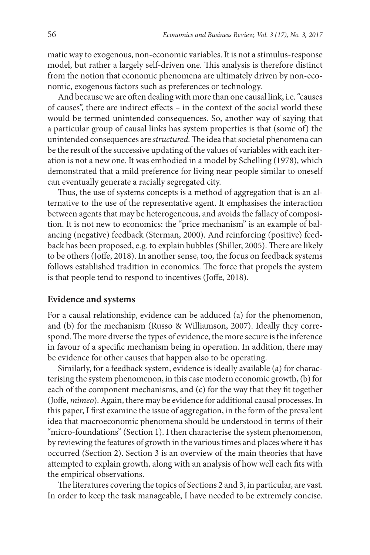matic way to exogenous, non-economic variables. It is not a stimulus-response model, but rather a largely self-driven one. This analysis is therefore distinct from the notion that economic phenomena are ultimately driven by non-economic, exogenous factors such as preferences or technology.

And because we are often dealing with more than one causal link, i.e. "causes of causes", there are indirect effects – in the context of the social world these would be termed unintended consequences. So, another way of saying that a particular group of causal links has system properties is that (some of) the unintended consequences are *structured*. The idea that societal phenomena can be the result of the successive updating of the values of variables with each iteration is not a new one. It was embodied in a model by Schelling (1978), which demonstrated that a mild preference for living near people similar to oneself can eventually generate a racially segregated city.

Thus, the use of systems concepts is a method of aggregation that is an alternative to the use of the representative agent. It emphasises the interaction between agents that may be heterogeneous, and avoids the fallacy of composition. It is not new to economics: the "price mechanism" is an example of balancing (negative) feedback (Sterman, 2000). And reinforcing (positive) feedback has been proposed, e.g. to explain bubbles (Shiller, 2005). There are likely to be others (Joffe, 2018). In another sense, too, the focus on feedback systems follows established tradition in economics. The force that propels the system is that people tend to respond to incentives (Joffe, 2018).

#### **Evidence and systems**

For a causal relationship, evidence can be adduced (a) for the phenomenon, and (b) for the mechanism (Russo & Williamson, 2007). Ideally they correspond. The more diverse the types of evidence, the more secure is the inference in favour of a specific mechanism being in operation. In addition, there may be evidence for other causes that happen also to be operating.

Similarly, for a feedback system, evidence is ideally available (a) for characterising the system phenomenon, in this case modern economic growth, (b) for each of the component mechanisms, and (c) for the way that they fit together (Joffe, *mimeo*). Again, there may be evidence for additional causal processes. In this paper, I first examine the issue of aggregation, in the form of the prevalent idea that macroeconomic phenomena should be understood in terms of their "micro-foundations" (Section 1). I then characterise the system phenomenon, by reviewing the features of growth in the various times and places where it has occurred (Section 2). Section 3 is an overview of the main theories that have attempted to explain growth, along with an analysis of how well each fits with the empirical observations.

The literatures covering the topics of Sections 2 and 3, in particular, are vast. In order to keep the task manageable, I have needed to be extremely concise.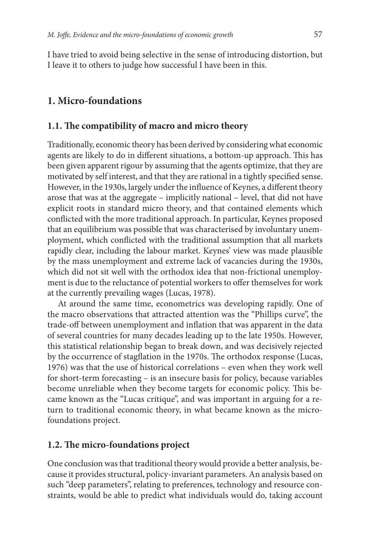I have tried to avoid being selective in the sense of introducing distortion, but I leave it to others to judge how successful I have been in this.

# **1. Micro-foundations**

### **1.1. The compatibility of macro and micro theory**

Traditionally, economic theory has been derived by considering what economic agents are likely to do in different situations, a bottom-up approach. This has been given apparent rigour by assuming that the agents optimize, that they are motivated by self interest, and that they are rational in a tightly specified sense. However, in the 1930s, largely under the influence of Keynes, a different theory arose that was at the aggregate – implicitly national – level, that did not have explicit roots in standard micro theory, and that contained elements which conflicted with the more traditional approach. In particular, Keynes proposed that an equilibrium was possible that was characterised by involuntary unemployment, which conflicted with the traditional assumption that all markets rapidly clear, including the labour market. Keynes' view was made plausible by the mass unemployment and extreme lack of vacancies during the 1930s, which did not sit well with the orthodox idea that non-frictional unemployment is due to the reluctance of potential workers to offer themselves for work at the currently prevailing wages (Lucas, 1978).

At around the same time, econometrics was developing rapidly. One of the macro observations that attracted attention was the "Phillips curve", the trade-off between unemployment and inflation that was apparent in the data of several countries for many decades leading up to the late 1950s. However, this statistical relationship began to break down, and was decisively rejected by the occurrence of stagflation in the 1970s. The orthodox response (Lucas, 1976) was that the use of historical correlations – even when they work well for short-term forecasting – is an insecure basis for policy, because variables become unreliable when they become targets for economic policy. This became known as the "Lucas critique", and was important in arguing for a return to traditional economic theory, in what became known as the microfoundations project.

### **1.2. The micro-foundations project**

One conclusion was that traditional theory would provide a better analysis, because it provides structural, policy-invariant parameters. An analysis based on such "deep parameters", relating to preferences, technology and resource constraints, would be able to predict what individuals would do, taking account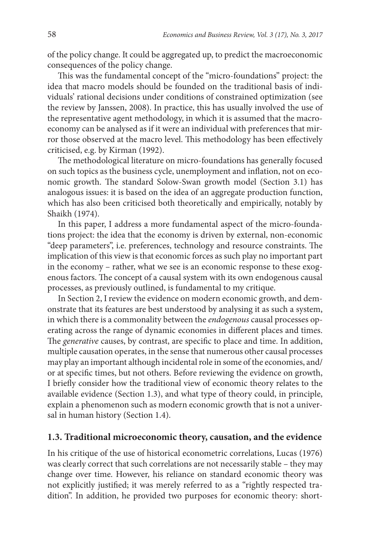of the policy change. It could be aggregated up, to predict the macroeconomic consequences of the policy change.

This was the fundamental concept of the "micro-foundations" project: the idea that macro models should be founded on the traditional basis of individuals' rational decisions under conditions of constrained optimization (see the review by Janssen, 2008). In practice, this has usually involved the use of the representative agent methodology, in which it is assumed that the macroeconomy can be analysed as if it were an individual with preferences that mirror those observed at the macro level. This methodology has been effectively criticised, e.g. by Kirman (1992).

The methodological literature on micro-foundations has generally focused on such topics as the business cycle, unemployment and inflation, not on economic growth. The standard Solow-Swan growth model (Section 3.1) has analogous issues: it is based on the idea of an aggregate production function, which has also been criticised both theoretically and empirically, notably by Shaikh (1974).

In this paper, I address a more fundamental aspect of the micro-foundations project: the idea that the economy is driven by external, non-economic "deep parameters", i.e. preferences, technology and resource constraints. The implication of this view is that economic forces as such play no important part in the economy – rather, what we see is an economic response to these exogenous factors. The concept of a causal system with its own endogenous causal processes, as previously outlined, is fundamental to my critique.

In Section 2, I review the evidence on modern economic growth, and demonstrate that its features are best understood by analysing it as such a system, in which there is a commonality between the *endogenous* causal processes operating across the range of dynamic economies in different places and times. The *generative* causes, by contrast, are specific to place and time. In addition, multiple causation operates, in the sense that numerous other causal processes may play an important although incidental role in some of the economies, and/ or at specific times, but not others. Before reviewing the evidence on growth, I briefly consider how the traditional view of economic theory relates to the available evidence (Section 1.3), and what type of theory could, in principle, explain a phenomenon such as modern economic growth that is not a universal in human history (Section 1.4).

#### **1.3. Traditional microeconomic theory, causation, and the evidence**

In his critique of the use of historical econometric correlations, Lucas (1976) was clearly correct that such correlations are not necessarily stable – they may change over time. However, his reliance on standard economic theory was not explicitly justified; it was merely referred to as a "rightly respected tradition". In addition, he provided two purposes for economic theory: short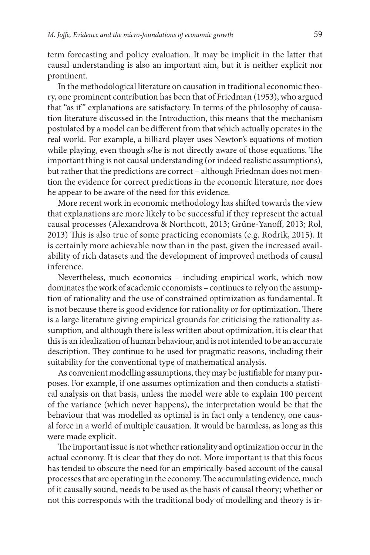term forecasting and policy evaluation. It may be implicit in the latter that causal understanding is also an important aim, but it is neither explicit nor prominent.

In the methodological literature on causation in traditional economic theory, one prominent contribution has been that of Friedman (1953), who argued that "as if " explanations are satisfactory. In terms of the philosophy of causation literature discussed in the Introduction, this means that the mechanism postulated by a model can be different from that which actually operates in the real world. For example, a billiard player uses Newton's equations of motion while playing, even though s/he is not directly aware of those equations. The important thing is not causal understanding (or indeed realistic assumptions), but rather that the predictions are correct – although Friedman does not mention the evidence for correct predictions in the economic literature, nor does he appear to be aware of the need for this evidence.

More recent work in economic methodology has shifted towards the view that explanations are more likely to be successful if they represent the actual causal processes (Alexandrova & Northcott, 2013; Grüne-Yanoff, 2013; Rol, 2013) This is also true of some practicing economists (e.g. Rodrik, 2015). It is certainly more achievable now than in the past, given the increased availability of rich datasets and the development of improved methods of causal inference.

Nevertheless, much economics – including empirical work, which now dominates the work of academic economists – continues to rely on the assumption of rationality and the use of constrained optimization as fundamental. It is not because there is good evidence for rationality or for optimization. There is a large literature giving empirical grounds for criticising the rationality assumption, and although there is less written about optimization, it is clear that this is an idealization of human behaviour, and is not intended to be an accurate description. They continue to be used for pragmatic reasons, including their suitability for the conventional type of mathematical analysis.

As convenient modelling assumptions, they may be justifiable for many purposes. For example, if one assumes optimization and then conducts a statistical analysis on that basis, unless the model were able to explain 100 percent of the variance (which never happens), the interpretation would be that the behaviour that was modelled as optimal is in fact only a tendency, one causal force in a world of multiple causation. It would be harmless, as long as this were made explicit.

The important issue is not whether rationality and optimization occur in the actual economy. It is clear that they do not. More important is that this focus has tended to obscure the need for an empirically-based account of the causal processes that are operating in the economy. The accumulating evidence, much of it causally sound, needs to be used as the basis of causal theory; whether or not this corresponds with the traditional body of modelling and theory is ir-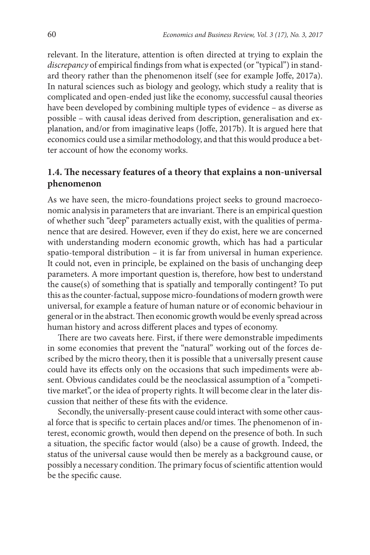relevant. In the literature, attention is often directed at trying to explain the *discrepancy* of empirical findings from what is expected (or "typical") in standard theory rather than the phenomenon itself (see for example Joffe, 2017a). In natural sciences such as biology and geology, which study a reality that is complicated and open-ended just like the economy, successful causal theories have been developed by combining multiple types of evidence – as diverse as possible – with causal ideas derived from description, generalisation and explanation, and/or from imaginative leaps (Joffe, 2017b). It is argued here that economics could use a similar methodology, and that this would produce a better account of how the economy works.

# **1.4. The necessary features of a theory that explains a non-universal phenomenon**

As we have seen, the micro-foundations project seeks to ground macroeconomic analysis in parameters that are invariant. There is an empirical question of whether such "deep" parameters actually exist, with the qualities of permanence that are desired. However, even if they do exist, here we are concerned with understanding modern economic growth, which has had a particular spatio-temporal distribution – it is far from universal in human experience. It could not, even in principle, be explained on the basis of unchanging deep parameters. A more important question is, therefore, how best to understand the cause(s) of something that is spatially and temporally contingent? To put this as the counter-factual, suppose micro-foundations of modern growth were universal, for example a feature of human nature or of economic behaviour in general or in the abstract. Then economic growth would be evenly spread across human history and across different places and types of economy.

There are two caveats here. First, if there were demonstrable impediments in some economies that prevent the "natural" working out of the forces described by the micro theory, then it is possible that a universally present cause could have its effects only on the occasions that such impediments were absent. Obvious candidates could be the neoclassical assumption of a "competitive market", or the idea of property rights. It will become clear in the later discussion that neither of these fits with the evidence.

Secondly, the universally-present cause could interact with some other causal force that is specific to certain places and/or times. The phenomenon of interest, economic growth, would then depend on the presence of both. In such a situation, the specific factor would (also) be a cause of growth. Indeed, the status of the universal cause would then be merely as a background cause, or possibly a necessary condition. The primary focus of scientific attention would be the specific cause.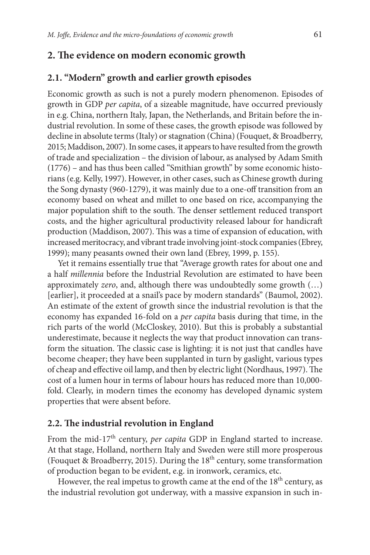## **2. The evidence on modern economic growth**

#### **2.1. "Modern" growth and earlier growth episodes**

Economic growth as such is not a purely modern phenomenon. Episodes of growth in GDP *per capita*, of a sizeable magnitude, have occurred previously in e.g. China, northern Italy, Japan, the Netherlands, and Britain before the industrial revolution. In some of these cases, the growth episode was followed by decline in absolute terms (Italy) or stagnation (China) (Fouquet, & Broadberry, 2015; Maddison, 2007). In some cases, it appears to have resulted from the growth of trade and specialization – the division of labour, as analysed by Adam Smith (1776) – and has thus been called "Smithian growth" by some economic historians (e.g. Kelly, 1997). However, in other cases, such as Chinese growth during the Song dynasty (960-1279), it was mainly due to a one-off transition from an economy based on wheat and millet to one based on rice, accompanying the major population shift to the south. The denser settlement reduced transport costs, and the higher agricultural productivity released labour for handicraft production (Maddison, 2007). This was a time of expansion of education, with increased meritocracy, and vibrant trade involving joint-stock companies (Ebrey, 1999); many peasants owned their own land (Ebrey, 1999, p. 155).

Yet it remains essentially true that "Average growth rates for about one and a half *millennia* before the Industrial Revolution are estimated to have been approximately *zero*, and, although there was undoubtedly some growth (…) [earlier], it proceeded at a snail's pace by modern standards" (Baumol, 2002). An estimate of the extent of growth since the industrial revolution is that the economy has expanded 16-fold on a *per capita* basis during that time, in the rich parts of the world (McCloskey, 2010). But this is probably a substantial underestimate, because it neglects the way that product innovation can transform the situation. The classic case is lighting: it is not just that candles have become cheaper; they have been supplanted in turn by gaslight, various types of cheap and effective oil lamp, and then by electric light (Nordhaus, 1997). The cost of a lumen hour in terms of labour hours has reduced more than 10,000 fold. Clearly, in modern times the economy has developed dynamic system properties that were absent before.

#### **2.2. The industrial revolution in England**

From the mid-17<sup>th</sup> century, *per capita* GDP in England started to increase. At that stage, Holland, northern Italy and Sweden were still more prosperous (Fouquet & Broadberry, 2015). During the  $18<sup>th</sup>$  century, some transformation of production began to be evident, e.g. in ironwork, ceramics, etc.

However, the real impetus to growth came at the end of the 18<sup>th</sup> century, as the industrial revolution got underway, with a massive expansion in such in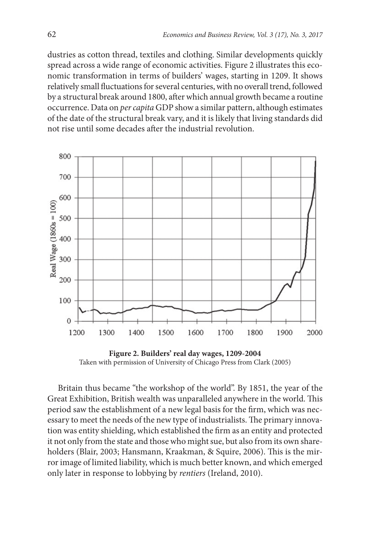dustries as cotton thread, textiles and clothing. Similar developments quickly spread across a wide range of economic activities. Figure 2 illustrates this economic transformation in terms of builders' wages, starting in 1209. It shows relatively small fluctuations for several centuries, with no overall trend, followed by a structural break around 1800, after which annual growth became a routine occurrence. Data on *per capita* GDP show a similar pattern, although estimates of the date of the structural break vary, and it is likely that living standards did not rise until some decades after the industrial revolution.



**Figure 2. Builders' real day wages, 1209-2004** Taken with permission of University of Chicago Press from Clark (2005)

Britain thus became "the workshop of the world". By 1851, the year of the Great Exhibition, British wealth was unparalleled anywhere in the world. This period saw the establishment of a new legal basis for the firm, which was necessary to meet the needs of the new type of industrialists. The primary innovation was entity shielding, which established the firm as an entity and protected it not only from the state and those who might sue, but also from its own shareholders (Blair, 2003; Hansmann, Kraakman, & Squire, 2006). This is the mirror image of limited liability, which is much better known, and which emerged only later in response to lobbying by *rentiers* (Ireland, 2010).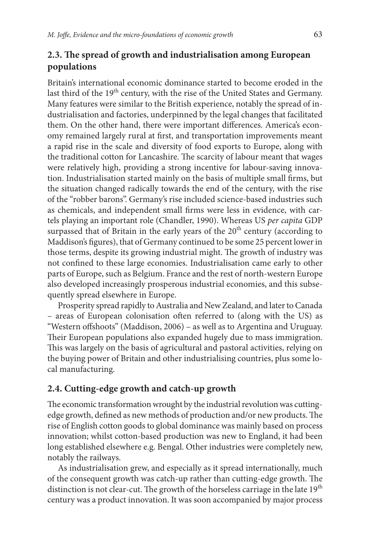# **2.3. The spread of growth and industrialisation among European populations**

Britain's international economic dominance started to become eroded in the last third of the 19<sup>th</sup> century, with the rise of the United States and Germany. Many features were similar to the British experience, notably the spread of industrialisation and factories, underpinned by the legal changes that facilitated them. On the other hand, there were important differences. America's economy remained largely rural at first, and transportation improvements meant a rapid rise in the scale and diversity of food exports to Europe, along with the traditional cotton for Lancashire. The scarcity of labour meant that wages were relatively high, providing a strong incentive for labour-saving innovation. Industrialisation started mainly on the basis of multiple small firms, but the situation changed radically towards the end of the century, with the rise of the "robber barons". Germany's rise included science-based industries such as chemicals, and independent small firms were less in evidence, with cartels playing an important role (Chandler, 1990). Whereas US *per capita* GDP surpassed that of Britain in the early years of the  $20<sup>th</sup>$  century (according to Maddison's figures), that of Germany continued to be some 25 percent lower in those terms, despite its growing industrial might. The growth of industry was not confined to these large economies. Industrialisation came early to other parts of Europe, such as Belgium. France and the rest of north-western Europe also developed increasingly prosperous industrial economies, and this subsequently spread elsewhere in Europe.

Prosperity spread rapidly to Australia and New Zealand, and later to Canada – areas of European colonisation often referred to (along with the US) as "Western offshoots" (Maddison, 2006) – as well as to Argentina and Uruguay. Their European populations also expanded hugely due to mass immigration. This was largely on the basis of agricultural and pastoral activities, relying on the buying power of Britain and other industrialising countries, plus some local manufacturing.

## **2.4. Cutting-edge growth and catch-up growth**

The economic transformation wrought by the industrial revolution was cuttingedge growth, defined as new methods of production and/or new products. The rise of English cotton goods to global dominance was mainly based on process innovation; whilst cotton-based production was new to England, it had been long established elsewhere e.g. Bengal. Other industries were completely new, notably the railways.

As industrialisation grew, and especially as it spread internationally, much of the consequent growth was catch-up rather than cutting-edge growth. The distinction is not clear-cut. The growth of the horseless carriage in the late 19<sup>th</sup> century was a product innovation. It was soon accompanied by major process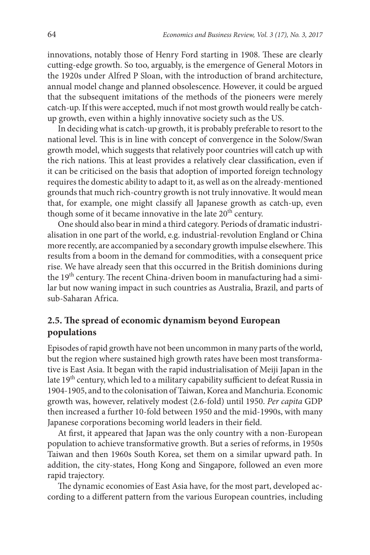innovations, notably those of Henry Ford starting in 1908. These are clearly cutting-edge growth. So too, arguably, is the emergence of General Motors in the 1920s under Alfred P Sloan, with the introduction of brand architecture, annual model change and planned obsolescence. However, it could be argued that the subsequent imitations of the methods of the pioneers were merely catch-up. If this were accepted, much if not most growth would really be catchup growth, even within a highly innovative society such as the US.

In deciding what is catch-up growth, it is probably preferable to resort to the national level. This is in line with concept of convergence in the Solow/Swan growth model, which suggests that relatively poor countries will catch up with the rich nations. This at least provides a relatively clear classification, even if it can be criticised on the basis that adoption of imported foreign technology requires the domestic ability to adapt to it, as well as on the already-mentioned grounds that much rich-country growth is not truly innovative. It would mean that, for example, one might classify all Japanese growth as catch-up, even though some of it became innovative in the late  $20<sup>th</sup>$  century.

One should also bear in mind a third category. Periods of dramatic industrialisation in one part of the world, e.g. industrial-revolution England or China more recently, are accompanied by a secondary growth impulse elsewhere. This results from a boom in the demand for commodities, with a consequent price rise. We have already seen that this occurred in the British dominions during the 19<sup>th</sup> century. The recent China-driven boom in manufacturing had a similar but now waning impact in such countries as Australia, Brazil, and parts of sub-Saharan Africa.

# **2.5. The spread of economic dynamism beyond European populations**

Episodes of rapid growth have not been uncommon in many parts of the world, but the region where sustained high growth rates have been most transformative is East Asia. It began with the rapid industrialisation of Meiji Japan in the late 19<sup>th</sup> century, which led to a military capability sufficient to defeat Russia in 1904-1905, and to the colonisation of Taiwan, Korea and Manchuria. Economic growth was, however, relatively modest (2.6-fold) until 1950. *Per capita* GDP then increased a further 10-fold between 1950 and the mid-1990s, with many Japanese corporations becoming world leaders in their field.

At first, it appeared that Japan was the only country with a non-European population to achieve transformative growth. But a series of reforms, in 1950s Taiwan and then 1960s South Korea, set them on a similar upward path. In addition, the city-states, Hong Kong and Singapore, followed an even more rapid trajectory.

The dynamic economies of East Asia have, for the most part, developed according to a different pattern from the various European countries, including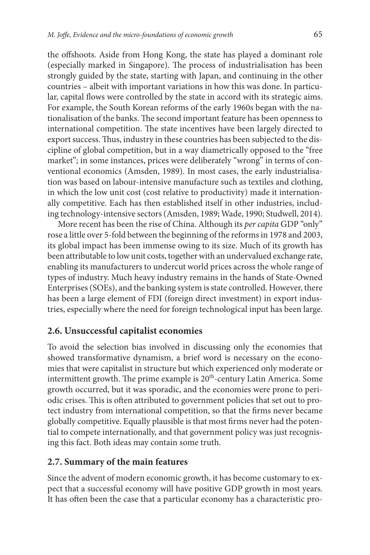the offshoots. Aside from Hong Kong, the state has played a dominant role (especially marked in Singapore). The process of industrialisation has been strongly guided by the state, starting with Japan, and continuing in the other countries – albeit with important variations in how this was done. In particular, capital flows were controlled by the state in accord with its strategic aims. For example, the South Korean reforms of the early 1960s began with the nationalisation of the banks. The second important feature has been openness to international competition. The state incentives have been largely directed to export success. Thus, industry in these countries has been subjected to the discipline of global competition, but in a way diametrically opposed to the "free market"; in some instances, prices were deliberately "wrong" in terms of conventional economics (Amsden, 1989). In most cases, the early industrialisation was based on labour-intensive manufacture such as textiles and clothing, in which the low unit cost (cost relative to productivity) made it internationally competitive. Each has then established itself in other industries, including technology-intensive sectors (Amsden, 1989; Wade, 1990; Studwell, 2014).

More recent has been the rise of China. Although its *per capita* GDP "only" rose a little over 5-fold between the beginning of the reforms in 1978 and 2003, its global impact has been immense owing to its size. Much of its growth has been attributable to low unit costs, together with an undervalued exchange rate, enabling its manufacturers to undercut world prices across the whole range of types of industry. Much heavy industry remains in the hands of State-Owned Enterprises (SOEs), and the banking system is state controlled. However, there has been a large element of FDI (foreign direct investment) in export industries, especially where the need for foreign technological input has been large.

# **2.6. Unsuccessful capitalist economies**

To avoid the selection bias involved in discussing only the economies that showed transformative dynamism, a brief word is necessary on the economies that were capitalist in structure but which experienced only moderate or intermittent growth. The prime example is 20<sup>th</sup>-century Latin America. Some growth occurred, but it was sporadic, and the economies were prone to periodic crises. This is often attributed to government policies that set out to protect industry from international competition, so that the firms never became globally competitive. Equally plausible is that most firms never had the potential to compete internationally, and that government policy was just recognising this fact. Both ideas may contain some truth.

## **2.7. Summary of the main features**

Since the advent of modern economic growth, it has become customary to expect that a successful economy will have positive GDP growth in most years. It has often been the case that a particular economy has a characteristic pro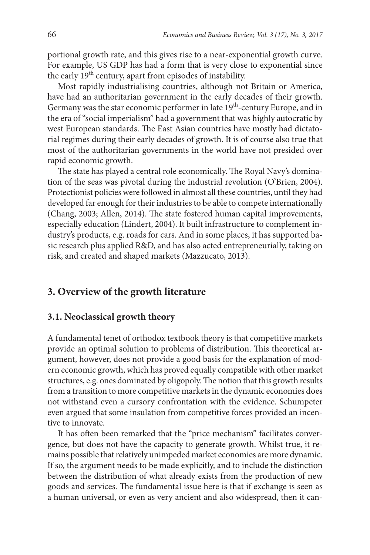portional growth rate, and this gives rise to a near-exponential growth curve. For example, US GDP has had a form that is very close to exponential since the early 19<sup>th</sup> century, apart from episodes of instability.

Most rapidly industrialising countries, although not Britain or America, have had an authoritarian government in the early decades of their growth. Germany was the star economic performer in late 19<sup>th</sup>-century Europe, and in the era of "social imperialism" had a government that was highly autocratic by west European standards. The East Asian countries have mostly had dictatorial regimes during their early decades of growth. It is of course also true that most of the authoritarian governments in the world have not presided over rapid economic growth.

The state has played a central role economically. The Royal Navy's domination of the seas was pivotal during the industrial revolution (O'Brien, 2004). Protectionist policies were followed in almost all these countries, until they had developed far enough for their industries to be able to compete internationally (Chang, 2003; Allen, 2014). The state fostered human capital improvements, especially education (Lindert, 2004). It built infrastructure to complement industry's products, e.g. roads for cars. And in some places, it has supported basic research plus applied R&D, and has also acted entrepreneurially, taking on risk, and created and shaped markets (Mazzucato, 2013).

## **3. Overview of the growth literature**

#### **3.1. Neoclassical growth theory**

A fundamental tenet of orthodox textbook theory is that competitive markets provide an optimal solution to problems of distribution. This theoretical argument, however, does not provide a good basis for the explanation of modern economic growth, which has proved equally compatible with other market structures, e.g. ones dominated by oligopoly. The notion that this growth results from a transition to more competitive markets in the dynamic economies does not withstand even a cursory confrontation with the evidence. Schumpeter even argued that some insulation from competitive forces provided an incentive to innovate.

It has often been remarked that the "price mechanism" facilitates convergence, but does not have the capacity to generate growth. Whilst true, it remains possible that relatively unimpeded market economies are more dynamic. If so, the argument needs to be made explicitly, and to include the distinction between the distribution of what already exists from the production of new goods and services. The fundamental issue here is that if exchange is seen as a human universal, or even as very ancient and also widespread, then it can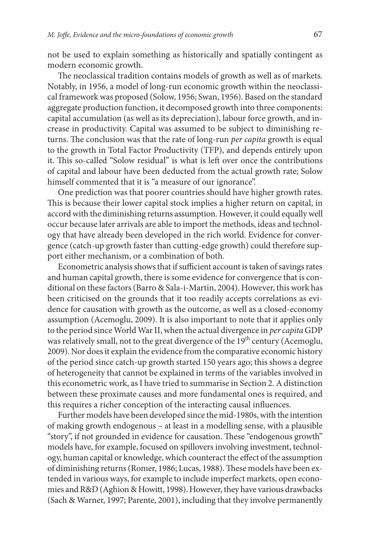not be used to explain something as historically and spatially contingent as modern economic growth.

The neoclassical tradition contains models of growth as well as of markets. Notably, in 1956, a model of long-run economic growth within the neoclassical framework was proposed (Solow, 1956; Swan, 1956). Based on the standard aggregate production function, it decomposed growth into three components: capital accumulation (as well as its depreciation), labour force growth, and increase in productivity. Capital was assumed to be subject to diminishing returns. The conclusion was that the rate of long-run *per capita* growth is equal to the growth in Total Factor Productivity (TFP), and depends entirely upon it. This so-called "Solow residual" is what is left over once the contributions of capital and labour have been deducted from the actual growth rate; Solow himself commented that it is "a measure of our ignorance".

One prediction was that poorer countries should have higher growth rates. This is because their lower capital stock implies a higher return on capital, in accord with the diminishing returns assumption. However, it could equally well occur because later arrivals are able to import the methods, ideas and technology that have already been developed in the rich world. Evidence for convergence (catch-up growth faster than cutting-edge growth) could therefore support either mechanism, or a combination of both.

Econometric analysis shows that if sufficient account is taken of savings rates and human capital growth, there is some evidence for convergence that is conditional on these factors (Barro & Sala-i-Martin, 2004). However, this work has been criticised on the grounds that it too readily accepts correlations as evidence for causation with growth as the outcome, as well as a closed-economy assumption (Acemoglu, 2009). It is also important to note that it applies only to the period since World War II, when the actual divergence in *per capita* GDP was relatively small, not to the great divergence of the  $19<sup>th</sup>$  century (Acemoglu, 2009). Nor does it explain the evidence from the comparative economic history of the period since catch-up growth started 150 years ago; this shows a degree of heterogeneity that cannot be explained in terms of the variables involved in this econometric work, as I have tried to summarise in Section 2. A distinction between these proximate causes and more fundamental ones is required, and this requires a richer conception of the interacting causal influences.

Further models have been developed since the mid-1980s, with the intention of making growth endogenous – at least in a modelling sense, with a plausible "story", if not grounded in evidence for causation. These "endogenous growth" models have, for example, focused on spillovers involving investment, technology, human capital or knowledge, which counteract the effect of the assumption of diminishing returns (Romer, 1986; Lucas, 1988). These models have been extended in various ways, for example to include imperfect markets, open economies and R&D (Aghion & Howitt, 1998). However, they have various drawbacks (Sach & Warner, 1997; Parente, 2001), including that they involve permanently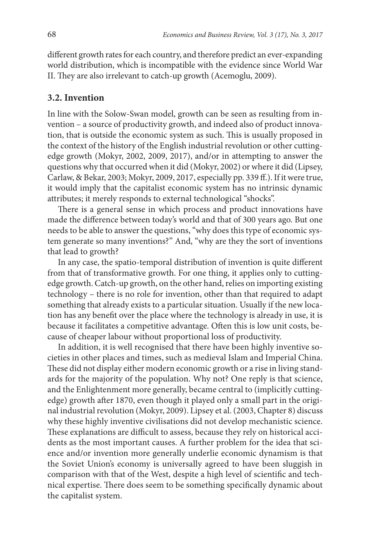different growth rates for each country, and therefore predict an ever-expanding world distribution, which is incompatible with the evidence since World War II. They are also irrelevant to catch-up growth (Acemoglu, 2009).

### **3.2. Invention**

In line with the Solow-Swan model, growth can be seen as resulting from invention – a source of productivity growth, and indeed also of product innovation, that is outside the economic system as such. This is usually proposed in the context of the history of the English industrial revolution or other cuttingedge growth (Mokyr, 2002, 2009, 2017), and/or in attempting to answer the questions why that occurred when it did (Mokyr, 2002) or where it did (Lipsey, Carlaw, & Bekar, 2003; Mokyr, 2009, 2017, especially pp. 339 ff.). If it were true, it would imply that the capitalist economic system has no intrinsic dynamic attributes; it merely responds to external technological "shocks".

There is a general sense in which process and product innovations have made the difference between today's world and that of 300 years ago. But one needs to be able to answer the questions, "why does this type of economic system generate so many inventions?" And, "why are they the sort of inventions that lead to growth?

In any case, the spatio-temporal distribution of invention is quite different from that of transformative growth. For one thing, it applies only to cuttingedge growth. Catch-up growth, on the other hand, relies on importing existing technology – there is no role for invention, other than that required to adapt something that already exists to a particular situation. Usually if the new location has any benefit over the place where the technology is already in use, it is because it facilitates a competitive advantage. Often this is low unit costs, because of cheaper labour without proportional loss of productivity.

In addition, it is well recognised that there have been highly inventive societies in other places and times, such as medieval Islam and Imperial China. These did not display either modern economic growth or a rise in living standards for the majority of the population. Why not? One reply is that science, and the Enlightenment more generally, became central to (implicitly cuttingedge) growth after 1870, even though it played only a small part in the original industrial revolution (Mokyr, 2009). Lipsey et al. (2003, Chapter 8) discuss why these highly inventive civilisations did not develop mechanistic science. These explanations are difficult to assess, because they rely on historical accidents as the most important causes. A further problem for the idea that science and/or invention more generally underlie economic dynamism is that the Soviet Union's economy is universally agreed to have been sluggish in comparison with that of the West, despite a high level of scientific and technical expertise. There does seem to be something specifically dynamic about the capitalist system.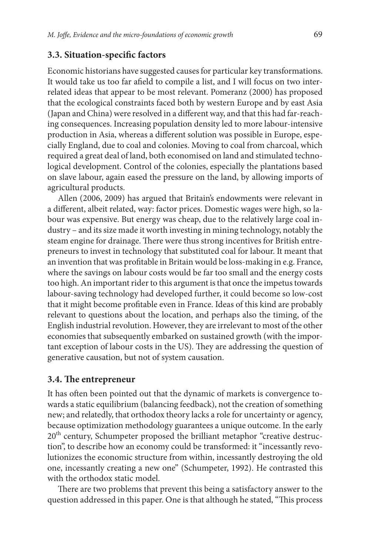### **3.3. Situation-specific factors**

Economic historians have suggested causes for particular key transformations. It would take us too far afield to compile a list, and I will focus on two interrelated ideas that appear to be most relevant. Pomeranz (2000) has proposed that the ecological constraints faced both by western Europe and by east Asia (Japan and China) were resolved in a different way, and that this had far-reaching consequences. Increasing population density led to more labour-intensive production in Asia, whereas a different solution was possible in Europe, especially England, due to coal and colonies. Moving to coal from charcoal, which required a great deal of land, both economised on land and stimulated technological development. Control of the colonies, especially the plantations based on slave labour, again eased the pressure on the land, by allowing imports of agricultural products.

Allen (2006, 2009) has argued that Britain's endowments were relevant in a different, albeit related, way: factor prices. Domestic wages were high, so labour was expensive. But energy was cheap, due to the relatively large coal industry – and its size made it worth investing in mining technology, notably the steam engine for drainage. There were thus strong incentives for British entrepreneurs to invest in technology that substituted coal for labour. It meant that an invention that was profitable in Britain would be loss-making in e.g. France, where the savings on labour costs would be far too small and the energy costs too high. An important rider to this argument is that once the impetus towards labour-saving technology had developed further, it could become so low-cost that it might become profitable even in France. Ideas of this kind are probably relevant to questions about the location, and perhaps also the timing, of the English industrial revolution. However, they are irrelevant to most of the other economies that subsequently embarked on sustained growth (with the important exception of labour costs in the US). They are addressing the question of generative causation, but not of system causation.

### **3.4. The entrepreneur**

It has often been pointed out that the dynamic of markets is convergence towards a static equilibrium (balancing feedback), not the creation of something new; and relatedly, that orthodox theory lacks a role for uncertainty or agency, because optimization methodology guarantees a unique outcome. In the early 20<sup>th</sup> century, Schumpeter proposed the brilliant metaphor "creative destruction", to describe how an economy could be transformed: it "incessantly revolutionizes the economic structure from within, incessantly destroying the old one, incessantly creating a new one" (Schumpeter, 1992). He contrasted this with the orthodox static model.

There are two problems that prevent this being a satisfactory answer to the question addressed in this paper. One is that although he stated, "This process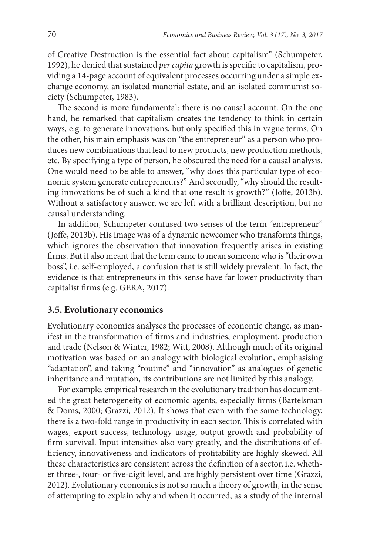of Creative Destruction is the essential fact about capitalism" (Schumpeter, 1992), he denied that sustained *per capita* growth is specific to capitalism, providing a 14-page account of equivalent processes occurring under a simple exchange economy, an isolated manorial estate, and an isolated communist society (Schumpeter, 1983).

The second is more fundamental: there is no causal account. On the one hand, he remarked that capitalism creates the tendency to think in certain ways, e.g. to generate innovations, but only specified this in vague terms. On the other, his main emphasis was on "the entrepreneur" as a person who produces new combinations that lead to new products, new production methods, etc. By specifying a type of person, he obscured the need for a causal analysis. One would need to be able to answer, "why does this particular type of economic system generate entrepreneurs?" And secondly, "why should the resulting innovations be of such a kind that one result is growth?" (Joffe, 2013b). Without a satisfactory answer, we are left with a brilliant description, but no causal understanding.

In addition, Schumpeter confused two senses of the term "entrepreneur" (Joffe, 2013b). His image was of a dynamic newcomer who transforms things, which ignores the observation that innovation frequently arises in existing firms. But it also meant that the term came to mean someone who is "their own boss", i.e. self-employed, a confusion that is still widely prevalent. In fact, the evidence is that entrepreneurs in this sense have far lower productivity than capitalist firms (e.g. GERA, 2017).

### **3.5. Evolutionary economics**

Evolutionary economics analyses the processes of economic change, as manifest in the transformation of firms and industries, employment, production and trade (Nelson & Winter, 1982; Witt, 2008). Although much of its original motivation was based on an analogy with biological evolution, emphasising "adaptation", and taking "routine" and "innovation" as analogues of genetic inheritance and mutation, its contributions are not limited by this analogy.

For example, empirical research in the evolutionary tradition has documented the great heterogeneity of economic agents, especially firms (Bartelsman & Doms, 2000; Grazzi, 2012). It shows that even with the same technology, there is a two-fold range in productivity in each sector. This is correlated with wages, export success, technology usage, output growth and probability of firm survival. Input intensities also vary greatly, and the distributions of efficiency, innovativeness and indicators of profitability are highly skewed. All these characteristics are consistent across the definition of a sector, i.e. whether three-, four- or five-digit level, and are highly persistent over time (Grazzi, 2012). Evolutionary economics is not so much a theory of growth, in the sense of attempting to explain why and when it occurred, as a study of the internal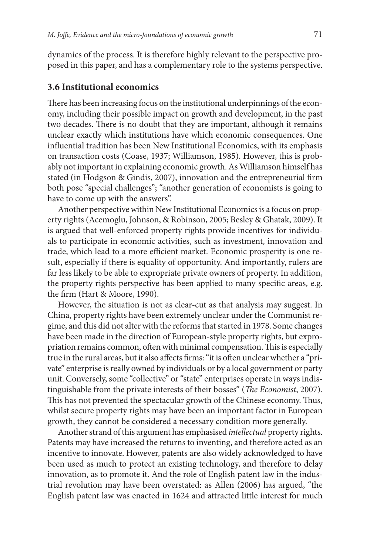dynamics of the process. It is therefore highly relevant to the perspective proposed in this paper, and has a complementary role to the systems perspective.

### **3.6 Institutional economics**

There has been increasing focus on the institutional underpinnings of the economy, including their possible impact on growth and development, in the past two decades. There is no doubt that they are important, although it remains unclear exactly which institutions have which economic consequences. One influential tradition has been New Institutional Economics, with its emphasis on transaction costs (Coase, 1937; Williamson, 1985). However, this is probably not important in explaining economic growth. As Williamson himself has stated (in Hodgson & Gindis, 2007), innovation and the entrepreneurial firm both pose "special challenges"; "another generation of economists is going to have to come up with the answers".

Another perspective within New Institutional Economics is a focus on property rights (Acemoglu, Johnson, & Robinson, 2005; Besley & Ghatak, 2009). It is argued that well-enforced property rights provide incentives for individuals to participate in economic activities, such as investment, innovation and trade, which lead to a more efficient market. Economic prosperity is one result, especially if there is equality of opportunity. And importantly, rulers are far less likely to be able to expropriate private owners of property. In addition, the property rights perspective has been applied to many specific areas, e.g. the firm (Hart & Moore, 1990).

However, the situation is not as clear-cut as that analysis may suggest. In China, property rights have been extremely unclear under the Communist regime, and this did not alter with the reforms that started in 1978. Some changes have been made in the direction of European-style property rights, but expropriation remains common, often with minimal compensation. This is especially true in the rural areas, but it also affects firms: "it is often unclear whether a "private" enterprise is really owned by individuals or by a local government or party unit. Conversely, some "collective" or "state" enterprises operate in ways indistinguishable from the private interests of their bosses" (*The Economist*, 2007). This has not prevented the spectacular growth of the Chinese economy. Thus, whilst secure property rights may have been an important factor in European growth, they cannot be considered a necessary condition more generally.

Another strand of this argument has emphasised *intellectual* property rights. Patents may have increased the returns to inventing, and therefore acted as an incentive to innovate. However, patents are also widely acknowledged to have been used as much to protect an existing technology, and therefore to delay innovation, as to promote it. And the role of English patent law in the industrial revolution may have been overstated: as Allen (2006) has argued, "the English patent law was enacted in 1624 and attracted little interest for much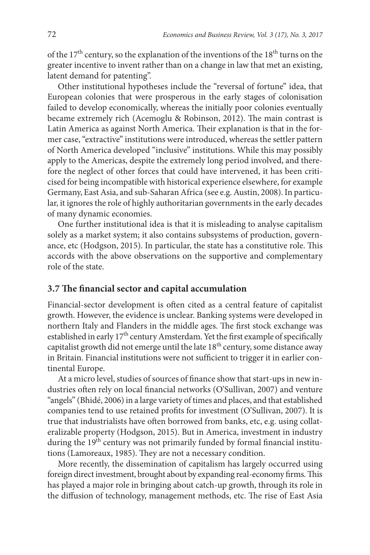of the  $17<sup>th</sup>$  century, so the explanation of the inventions of the  $18<sup>th</sup>$  turns on the greater incentive to invent rather than on a change in law that met an existing, latent demand for patenting".

Other institutional hypotheses include the "reversal of fortune" idea, that European colonies that were prosperous in the early stages of colonisation failed to develop economically, whereas the initially poor colonies eventually became extremely rich (Acemoglu & Robinson, 2012). The main contrast is Latin America as against North America. Their explanation is that in the former case, "extractive" institutions were introduced, whereas the settler pattern of North America developed "inclusive" institutions. While this may possibly apply to the Americas, despite the extremely long period involved, and therefore the neglect of other forces that could have intervened, it has been criticised for being incompatible with historical experience elsewhere, for example Germany, East Asia, and sub-Saharan Africa (see e.g. Austin, 2008). In particular, it ignores the role of highly authoritarian governments in the early decades of many dynamic economies.

One further institutional idea is that it is misleading to analyse capitalism solely as a market system; it also contains subsystems of production, governance, etc (Hodgson, 2015). In particular, the state has a constitutive role. This accords with the above observations on the supportive and complementary role of the state.

### **3.7 The financial sector and capital accumulation**

Financial-sector development is often cited as a central feature of capitalist growth. However, the evidence is unclear. Banking systems were developed in northern Italy and Flanders in the middle ages. The first stock exchange was established in early 17<sup>th</sup> century Amsterdam. Yet the first example of specifically capitalist growth did not emerge until the late 18<sup>th</sup> century, some distance away in Britain. Financial institutions were not sufficient to trigger it in earlier continental Europe.

At a micro level, studies of sources of finance show that start-ups in new industries often rely on local financial networks (O'Sullivan, 2007) and venture "angels" (Bhidé, 2006) in a large variety of times and places, and that established companies tend to use retained profits for investment (O'Sullivan, 2007). It is true that industrialists have often borrowed from banks, etc, e.g. using collateralizable property (Hodgson, 2015). But in America, investment in industry during the 19<sup>th</sup> century was not primarily funded by formal financial institutions (Lamoreaux, 1985). They are not a necessary condition.

More recently, the dissemination of capitalism has largely occurred using foreign direct investment, brought about by expanding real-economy firms. This has played a major role in bringing about catch-up growth, through its role in the diffusion of technology, management methods, etc. The rise of East Asia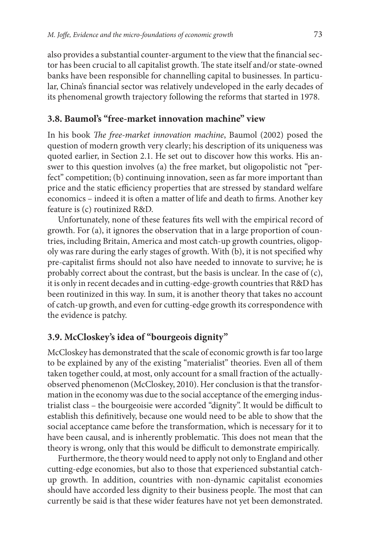also provides a substantial counter-argument to the view that the financial sector has been crucial to all capitalist growth. The state itself and/or state-owned banks have been responsible for channelling capital to businesses. In particular, China's financial sector was relatively undeveloped in the early decades of its phenomenal growth trajectory following the reforms that started in 1978.

### **3.8. Baumol's "free-market innovation machine" view**

In his book *The free-market innovation machine*, Baumol (2002) posed the question of modern growth very clearly; his description of its uniqueness was quoted earlier, in Section 2.1. He set out to discover how this works. His answer to this question involves (a) the free market, but oligopolistic not "perfect" competition; (b) continuing innovation, seen as far more important than price and the static efficiency properties that are stressed by standard welfare economics – indeed it is often a matter of life and death to firms. Another key feature is (c) routinized R&D.

Unfortunately, none of these features fits well with the empirical record of growth. For (a), it ignores the observation that in a large proportion of countries, including Britain, America and most catch-up growth countries, oligopoly was rare during the early stages of growth. With (b), it is not specified why pre-capitalist firms should not also have needed to innovate to survive; he is probably correct about the contrast, but the basis is unclear. In the case of (c), it is only in recent decades and in cutting-edge-growth countries that R&D has been routinized in this way. In sum, it is another theory that takes no account of catch-up growth, and even for cutting-edge growth its correspondence with the evidence is patchy.

# **3.9. McCloskey's idea of "bourgeois dignity"**

McCloskey has demonstrated that the scale of economic growth is far too large to be explained by any of the existing "materialist" theories. Even all of them taken together could, at most, only account for a small fraction of the actuallyobserved phenomenon (McCloskey, 2010). Her conclusion is that the transformation in the economy was due to the social acceptance of the emerging industrialist class – the bourgeoisie were accorded "dignity". It would be difficult to establish this definitively, because one would need to be able to show that the social acceptance came before the transformation, which is necessary for it to have been causal, and is inherently problematic. This does not mean that the theory is wrong, only that this would be difficult to demonstrate empirically.

Furthermore, the theory would need to apply not only to England and other cutting-edge economies, but also to those that experienced substantial catchup growth. In addition, countries with non-dynamic capitalist economies should have accorded less dignity to their business people. The most that can currently be said is that these wider features have not yet been demonstrated.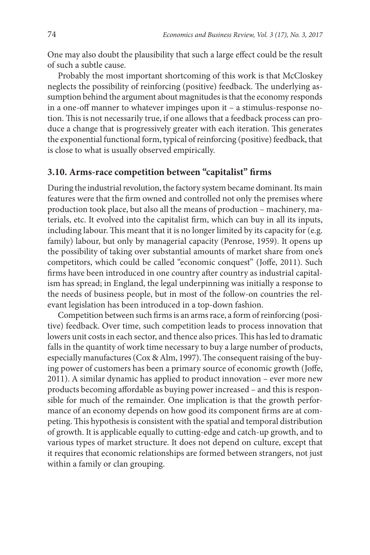One may also doubt the plausibility that such a large effect could be the result of such a subtle cause.

Probably the most important shortcoming of this work is that McCloskey neglects the possibility of reinforcing (positive) feedback. The underlying assumption behind the argument about magnitudes is that the economy responds in a one-off manner to whatever impinges upon it – a stimulus-response notion. This is not necessarily true, if one allows that a feedback process can produce a change that is progressively greater with each iteration. This generates the exponential functional form, typical of reinforcing (positive) feedback, that is close to what is usually observed empirically.

### **3.10. Arms-race competition between "capitalist" firms**

During the industrial revolution, the factory system became dominant. Its main features were that the firm owned and controlled not only the premises where production took place, but also all the means of production – machinery, materials, etc. It evolved into the capitalist firm, which can buy in all its inputs, including labour. This meant that it is no longer limited by its capacity for (e.g. family) labour, but only by managerial capacity (Penrose, 1959). It opens up the possibility of taking over substantial amounts of market share from one's competitors, which could be called "economic conquest" (Joffe, 2011). Such firms have been introduced in one country after country as industrial capitalism has spread; in England, the legal underpinning was initially a response to the needs of business people, but in most of the follow-on countries the relevant legislation has been introduced in a top-down fashion.

Competition between such firms is an arms race, a form of reinforcing (positive) feedback. Over time, such competition leads to process innovation that lowers unit costs in each sector, and thence also prices. This has led to dramatic falls in the quantity of work time necessary to buy a large number of products, especially manufactures (Cox & Alm, 1997). The consequent raising of the buying power of customers has been a primary source of economic growth (Joffe, 2011). A similar dynamic has applied to product innovation – ever more new products becoming affordable as buying power increased – and this is responsible for much of the remainder. One implication is that the growth performance of an economy depends on how good its component firms are at competing. This hypothesis is consistent with the spatial and temporal distribution of growth. It is applicable equally to cutting-edge and catch-up growth, and to various types of market structure. It does not depend on culture, except that it requires that economic relationships are formed between strangers, not just within a family or clan grouping.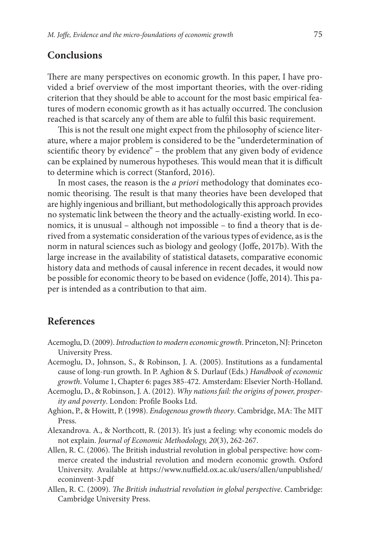# **Conclusions**

There are many perspectives on economic growth. In this paper, I have provided a brief overview of the most important theories, with the over-riding criterion that they should be able to account for the most basic empirical features of modern economic growth as it has actually occurred. The conclusion reached is that scarcely any of them are able to fulfil this basic requirement.

This is not the result one might expect from the philosophy of science literature, where a major problem is considered to be the "underdetermination of scientific theory by evidence" – the problem that any given body of evidence can be explained by numerous hypotheses. This would mean that it is difficult to determine which is correct (Stanford, 2016).

In most cases, the reason is the *a priori* methodology that dominates economic theorising. The result is that many theories have been developed that are highly ingenious and brilliant, but methodologically this approach provides no systematic link between the theory and the actually-existing world. In economics, it is unusual – although not impossible – to find a theory that is derived from a systematic consideration of the various types of evidence, as is the norm in natural sciences such as biology and geology (Joffe, 2017b). With the large increase in the availability of statistical datasets, comparative economic history data and methods of causal inference in recent decades, it would now be possible for economic theory to be based on evidence (Joffe, 2014). This paper is intended as a contribution to that aim.

### **References**

- Acemoglu, D. (2009). *Introduction to modern economic growth*. Princeton, NJ: Princeton University Press.
- Acemoglu, D., Johnson, S., & Robinson, J. A. (2005). Institutions as a fundamental cause of long-run growth. In P. Aghion & S. Durlauf (Eds.) *Handbook of economic growth*. Volume 1, Chapter 6: pages 385-472. Amsterdam: Elsevier North-Holland.
- Acemoglu, D., & Robinson, J. A. (2012). *Why nations fail: the origins of power, prosperity and poverty*. London: Profile Books Ltd.
- Aghion, P., & Howitt, P. (1998). *Endogenous growth theory*. Cambridge, MA: The MIT Press.
- Alexandrova. A., & Northcott, R. (2013). It's just a feeling: why economic models do not explain. *Journal of Economic Methodology, 20*(3), 262-267.
- Allen, R. C. (2006). The British industrial revolution in global perspective: how commerce created the industrial revolution and modern economic growth. Oxford University. Available at [https://www.nuffield.ox.ac.uk/users/allen/unpublished/](https://www.nuffield.ox.ac.uk/users/allen/unpublished/econinvent-3.pdf) [econinvent-3.pdf](https://www.nuffield.ox.ac.uk/users/allen/unpublished/econinvent-3.pdf)
- Allen, R. C. (2009). *The British industrial revolution in global perspective*. Cambridge: Cambridge University Press.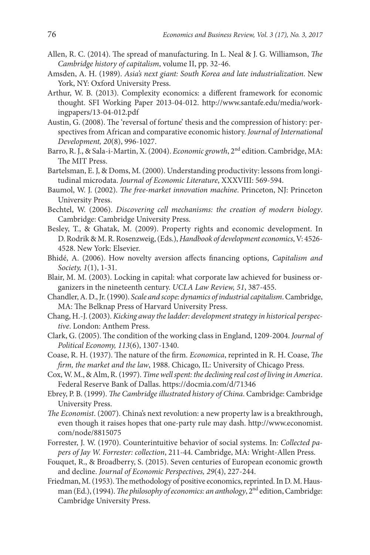- Allen, R. C. (2014). The spread of manufacturing. In L. Neal & J. G. Williamson, *The Cambridge history of capitalism*, volume II, pp. 32-46.
- Amsden, A. H. (1989). *Asia's next giant: South Korea and late industrialization*. New York, NY: Oxford University Press.
- Arthur, W. B. (2013). Complexity economics: a different framework for economic thought. SFI Working Paper 2013-04-012. [http://www.santafe.edu/media/work](http://www.santafe.edu/media/workingpapers/13-04-012.pdf)[ingpapers/13-04-012.pdf](http://www.santafe.edu/media/workingpapers/13-04-012.pdf)
- Austin, G. (2008). The 'reversal of fortune' thesis and the compression of history: perspectives from African and comparative economic history. *Journal of International Development, 20*(8), 996-1027.
- Barro, R. J., & Sala-i-Martin, X. (2004). *Economic growth*, 2nd edition. Cambridge, MA: The MIT Press.
- Bartelsman, E. J, & Doms, M. (2000). Understanding productivity: lessons from longitudinal microdata. *Journal of Economic Literature*, XXXVIII: 569-594.
- Baumol, W. J. (2002). *The free-market innovation machine*. Princeton, NJ: Princeton University Press.
- Bechtel, W. (2006). *Discovering cell mechanisms: the creation of modern biology*. Cambridge: Cambridge University Press.
- Besley, T., & Ghatak, M. (2009). Property rights and economic development. In D. Rodrik & M. R. Rosenzweig, (Eds.), *Handbook of development economics*, V: 4526- 4528. New York: Elsevier.
- Bhidé, A. (2006). How novelty aversion affects financing options, *Capitalism and Society, 1*(1), 1-31.
- Blair, M. M. (2003). Locking in capital: what corporate law achieved for business organizers in the nineteenth century. *UCLA Law Review, 51*, 387-455.
- Chandler, A. D., Jr. (1990). *Scale and scope: dynamics of industrial capitalism*. Cambridge, MA: The Belknap Press of Harvard University Press.
- Chang, H.-J. (2003). *Kicking away the ladder: development strategy in historical perspective*. London: Anthem Press.
- Clark, G. (2005). The condition of the working class in England, 1209-2004. *Journal of Political Economy, 113*(6), 1307-1340.
- Coase, R. H. (1937). The nature of the firm. *Economica*, reprinted in R. H. Coase, *The firm, the market and the law*, 1988. Chicago, IL: University of Chicago Press.
- Cox, W. M., & Alm, R. (1997). *Time well spent: the declining real cost of living in America*. Federal Reserve Bank of Dallas.<https://docmia.com/d/71346>
- Ebrey, P. B. (1999). *The Cambridge illustrated history of China*. Cambridge: Cambridge University Press.
- *The Economist*. (2007). China's next revolution: a new property law is a breakthrough, even though it raises hopes that one-party rule may dash. [http://www.economist.](http://www.economist.com/node/8815075) [com/node/8815075](http://www.economist.com/node/8815075)
- Forrester, J. W. (1970). Counterintuitive behavior of social systems. In: *Collected papers of Jay W. Forrester: collection*, 211-44. Cambridge, MA: Wright-Allen Press.
- Fouquet, R., & Broadberry, S. (2015). Seven centuries of European economic growth and decline. *Journal of Economic Perspectives, 29*(4), 227-244.
- Friedman, M. (1953). The methodology of positive economics, reprinted. In D. M. Hausman (Ed.), (1994). *The philosophy of economics: an anthology*, 2<sup>nd</sup> edition, Cambridge: Cambridge University Press.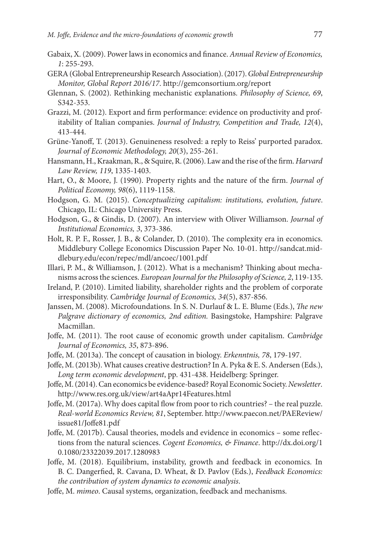- Gabaix, X. (2009). Power laws in economics and finance. *Annual Review of Economics, 1*: 255-293.
- GERA (Global Entrepreneurship Research Association). (2017). *Global Entrepreneurship Monitor, Global Report 2016/17*. <http://gemconsortium.org/report>
- Glennan, S. (2002). Rethinking mechanistic explanations. *Philosophy of Science, 69*, S342-353.
- Grazzi, M. (2012). Export and firm performance: evidence on productivity and profitability of Italian companies. *Journal of Industry, Competition and Trade, 12*(4), 413-444.
- Grüne-Yanoff, T. (2013). Genuineness resolved: a reply to Reiss' purported paradox. *Journal of Economic Methodology, 20*(3), 255-261.
- Hansmann, H., Kraakman, R., & Squire, R. (2006). Law and the rise of the firm. *Harvard Law Review, 119*, 1335-1403.
- Hart, O., & Moore, J. (1990). Property rights and the nature of the firm. *Journal of Political Economy, 98*(6), 1119-1158.
- Hodgson, G. M. (2015). *Conceptualizing capitalism: institutions, evolution, future*. Chicago, IL: Chicago University Press.
- Hodgson, G., & Gindis, D. (2007). An interview with Oliver Williamson. *Journal of Institutional Economics, 3*, 373-386.
- Holt, R. P. F., Rosser, J. B., & Colander, D. (2010). The complexity era in economics. Middlebury College Economics Discussion Paper No. 10-01. [http://sandcat.mid](http://sandcat.middlebury.edu/econ/repec/mdl/ancoec/1001.pdf)[dlebury.edu/econ/repec/mdl/ancoec/1001.pdf](http://sandcat.middlebury.edu/econ/repec/mdl/ancoec/1001.pdf)
- Illari, P. M., & Williamson, J. (2012). What is a mechanism? Thinking about mechanisms across the sciences. *European Journal for the Philosophy of Science, 2*, 119-135.
- Ireland, P. (2010). Limited liability, shareholder rights and the problem of corporate irresponsibility. *Cambridge Journal of Economics, 34*(5), 837-856.
- Janssen, M. (2008). Microfoundations. In S. N. Durlauf & L. E. Blume (Eds.), *The new Palgrave dictionary of economics, 2nd edition.* Basingstoke, Hampshire: Palgrave Macmillan.
- Joffe, M. (2011). The root cause of economic growth under capitalism. *Cambridge Journal of Economics, 35*, 873-896.
- Joffe, M. (2013a). The concept of causation in biology. *Erkenntnis, 78*, 179-197.
- Joffe, M. (2013b). What causes creative destruction? In A. Pyka & E. S. Andersen (Eds.), *Long term economic development*, pp. 431-438. Heidelberg: Springer.
- Joffe, M. (2014). Can economics be evidence-based? Royal Economic Society. *Newsletter*. <http://www.res.org.uk/view/art4aApr14Features.html>
- Joffe, M. (2017a). Why does capital flow from poor to rich countries? the real puzzle. *Real-world Economics Review, 81*, September. http://www.paecon.net/PAEReview/ issue81/Joffe81.pdf
- Joffe, M. (2017b). Causal theories, models and evidence in economics some reflections from the natural sciences. *Cogent Economics, & Finance*. http://dx.doi.org/1 0.1080/23322039.2017.1280983
- Joffe, M. (2018). Equilibrium, instability, growth and feedback in economics. In B. C. Dangerfied, R. Cavana, D. Wheat, & D. Pavlov (Eds.), *Feedback Economics: the contribution of system dynamics to economic analysis*.
- Joffe, M. *mimeo*. Causal systems, organization, feedback and mechanisms.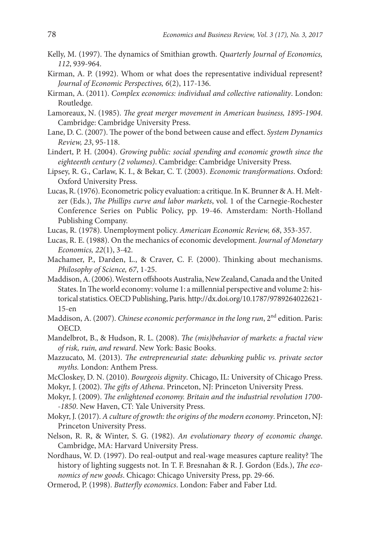- Kelly, M. (1997). The dynamics of Smithian growth. *Quarterly Journal of Economics, 112*, 939-964.
- Kirman, A. P. (1992). Whom or what does the representative individual represent? *Journal of Economic Perspectives, 6*(2), 117-136.
- Kirman, A. (2011). *Complex economics: individual and collective rationality*. London: Routledge.
- Lamoreaux, N. (1985). *The great merger movement in American business, 1895-1904*. Cambridge: Cambridge University Press.
- Lane, D. C. (2007). The power of the bond between cause and effect. *System Dynamics Review, 23*, 95-118.
- Lindert, P. H. (2004). *Growing public: social spending and economic growth since the eighteenth century (2 volumes)*. Cambridge: Cambridge University Press.
- Lipsey, R. G., Carlaw, K. I., & Bekar, C. T. (2003). *Economic transformations*. Oxford: Oxford University Press.
- Lucas, R. (1976). Econometric policy evaluation: a critique. In K. Brunner & A. H. Meltzer (Eds.), *The Phillips curve and labor markets*, vol. 1 of the Carnegie-Rochester Conference Series on Public Policy, pp. 19-46. Amsterdam: North-Holland Publishing Company.
- Lucas, R. (1978). Unemployment policy. *American Economic Review, 68*, 353-357.
- Lucas, R. E. (1988). On the mechanics of economic development. *Journal of Monetary Economics, 22*(1), 3-42.
- Machamer, P., Darden, L., & Craver, C. F. (2000). Thinking about mechanisms. *Philosophy of Science, 67*, 1-25.
- Maddison, A. (2006). Western offshoots Australia, New Zealand, Canada and the United States. In The world economy: volume 1: a millennial perspective and volume 2: historical statistics. OECD Publishing, Paris. [http://dx.doi.org/10.1787/9789264022621-](http://dx.doi.org/10.1787/9789264022621-15-en) [15-en](http://dx.doi.org/10.1787/9789264022621-15-en)
- Maddison, A. (2007). *Chinese economic performance in the long run*, 2<sup>nd</sup> edition. Paris: OECD.
- Mandelbrot, B., & Hudson, R. L. (2008). *The (mis)behavior of markets: a fractal view of risk, ruin, and reward*. New York: Basic Books.
- Mazzucato, M. (2013). *The entrepreneurial state: debunking public vs. private sector myths.* London: Anthem Press.
- McCloskey, D. N. (2010). *Bourgeois dignity*. Chicago, IL: University of Chicago Press.
- Mokyr, J. (2002). *The gifts of Athena*. Princeton, NJ: Princeton University Press.
- Mokyr, J. (2009). *The enlightened economy. Britain and the industrial revolution 1700- -1850*. New Haven, CT: Yale University Press.
- Mokyr, J. (2017). *A culture of growth: the origins of the modern economy*. Princeton, NJ: Princeton University Press.
- Nelson, R. R, & Winter, S. G. (1982). *An evolutionary theory of economic change*. Cambridge, MA: Harvard University Press.
- Nordhaus, W. D. (1997). Do real-output and real-wage measures capture reality? The history of lighting suggests not. In T. F. Bresnahan & R. J. Gordon (Eds.), *The economics of new goods*. Chicago: Chicago University Press, pp. 29-66.
- Ormerod, P. (1998). *Butterfly economics*. London: Faber and Faber Ltd.